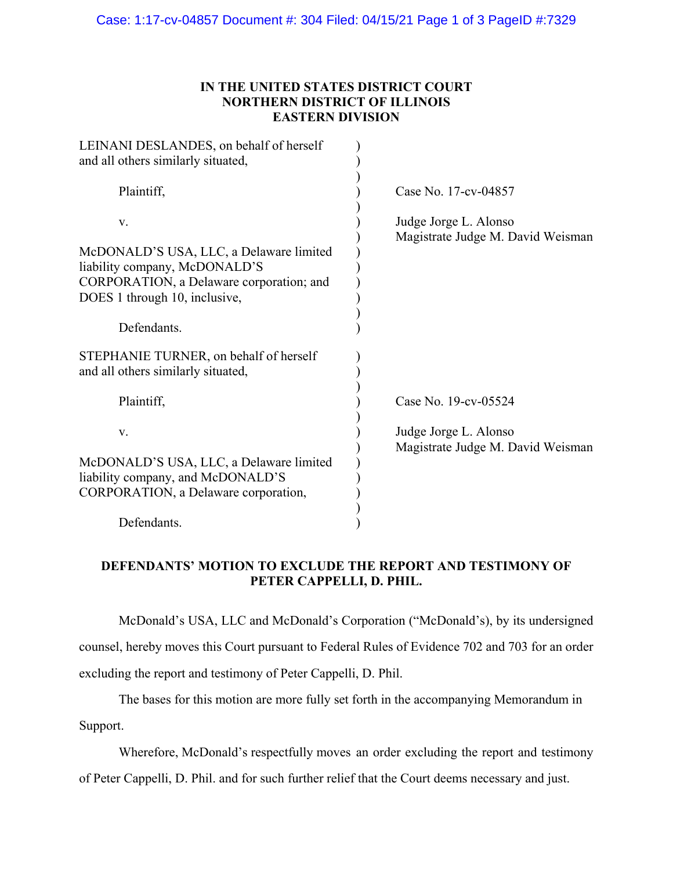### **IN THE UNITED STATES DISTRICT COURT NORTHERN DISTRICT OF ILLINOIS EASTERN DIVISION**

| LEINANI DESLANDES, on behalf of herself<br>and all others similarly situated,                                                                                              |                                                            |
|----------------------------------------------------------------------------------------------------------------------------------------------------------------------------|------------------------------------------------------------|
| Plaintiff,                                                                                                                                                                 | Case No. 17-cv-04857                                       |
| V.<br>McDONALD'S USA, LLC, a Delaware limited<br>liability company, McDONALD'S<br>CORPORATION, a Delaware corporation; and<br>DOES 1 through 10, inclusive,<br>Defendants. | Judge Jorge L. Alonso<br>Magistrate Judge M. David Weisman |
| STEPHANIE TURNER, on behalf of herself<br>and all others similarly situated,                                                                                               |                                                            |
| Plaintiff,                                                                                                                                                                 | Case No. 19-cv-05524                                       |
| V.                                                                                                                                                                         | Judge Jorge L. Alonso<br>Magistrate Judge M. David Weisman |
| McDONALD'S USA, LLC, a Delaware limited<br>liability company, and McDONALD'S<br>CORPORATION, a Delaware corporation,                                                       |                                                            |
| Defendants.                                                                                                                                                                |                                                            |

## **DEFENDANTS' MOTION TO EXCLUDE THE REPORT AND TESTIMONY OF PETER CAPPELLI, D. PHIL.**

 McDonald's USA, LLC and McDonald's Corporation ("McDonald's), by its undersigned counsel, hereby moves this Court pursuant to Federal Rules of Evidence 702 and 703 for an order excluding the report and testimony of Peter Cappelli, D. Phil.

 The bases for this motion are more fully set forth in the accompanying Memorandum in Support.

Wherefore, McDonald's respectfully moves an order excluding the report and testimony

of Peter Cappelli, D. Phil. and for such further relief that the Court deems necessary and just.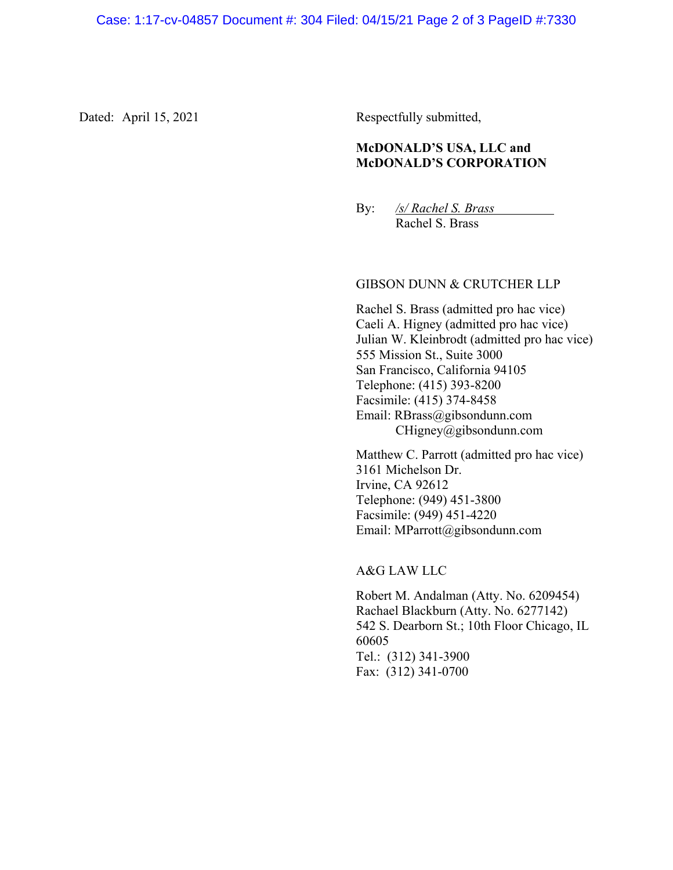Dated: April 15, 2021 Respectfully submitted,

#### **McDONALD'S USA, LLC and McDONALD'S CORPORATION**

By: */s/ Rachel S. Brass* Rachel S. Brass

#### GIBSON DUNN & CRUTCHER LLP

Rachel S. Brass (admitted pro hac vice) Caeli A. Higney (admitted pro hac vice) Julian W. Kleinbrodt (admitted pro hac vice) 555 Mission St., Suite 3000 San Francisco, California 94105 Telephone: (415) 393-8200 Facsimile: (415) 374-8458 Email: RBrass@gibsondunn.com CHigney@gibsondunn.com

Matthew C. Parrott (admitted pro hac vice) 3161 Michelson Dr. Irvine, CA 92612 Telephone: (949) 451-3800 Facsimile: (949) 451-4220 Email: MParrott@gibsondunn.com

A&G LAW LLC

Robert M. Andalman (Atty. No. 6209454) Rachael Blackburn (Atty. No. 6277142) 542 S. Dearborn St.; 10th Floor Chicago, IL 60605 Tel.: (312) 341-3900 Fax: (312) 341-0700